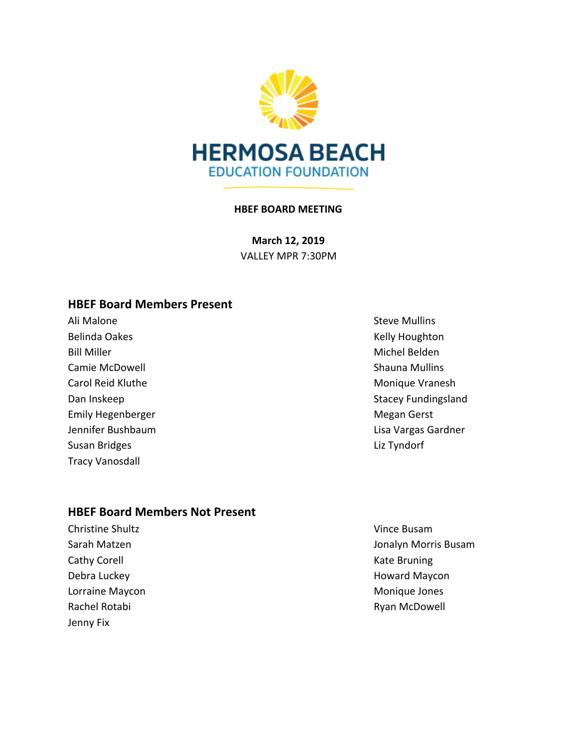

#### **HBEF BOARD MEETING**

**March 12, 2019** VALLEY MPR 7:30PM

#### **HBEF Board Members Present**

Ali Malone **Steve Mullins** Belinda Oakes **Kelly Houghton** Belinda Oakes **Kelly Houghton** Bill Miller Michel Belden and Michel Belden and Michel Belden and Michel Belden and Michel Belden and Michel Belden Camie McDowell **Shauna Mullins** Shauna Mullins Carol Reid Kluthe Monique Vranesh Emily Hegenberger Manuscript Communication and Megan Gerst Susan Bridges **Liz Tyndorf** Tracy Vanosdall

#### **HBEF Board Members Not Present**

**Christine Shultz Vince Busam** Cathy Corell **Cathy Corell** Cathy Corell **Cathy Corell** Catholic Catholic Catholic Catholic Catholic Catholic Catholic Catholic Catholic Catholic Catholic Catholic Catholic Catholic Catholic Catholic Catholic Catholic Cath Lorraine Maycon **Monitage Contract Contract Contract Contract Contract Contract Contract Contract Contract Contract Contract Contract Contract Contract Contract Contract Contract Contract Contract Contract Contract Contrac** Rachel Rotabi **Rachel Rotabi** Ryan McDowell Jenny Fix

Dan Inskeep Stacey Fundingsland Jennifer Bushbaum Lisa Vargas Gardner

Sarah Matzen **Jonalyn Morris Busam** Debra Luckey **Accord Maycon Maycon Howard Maycon**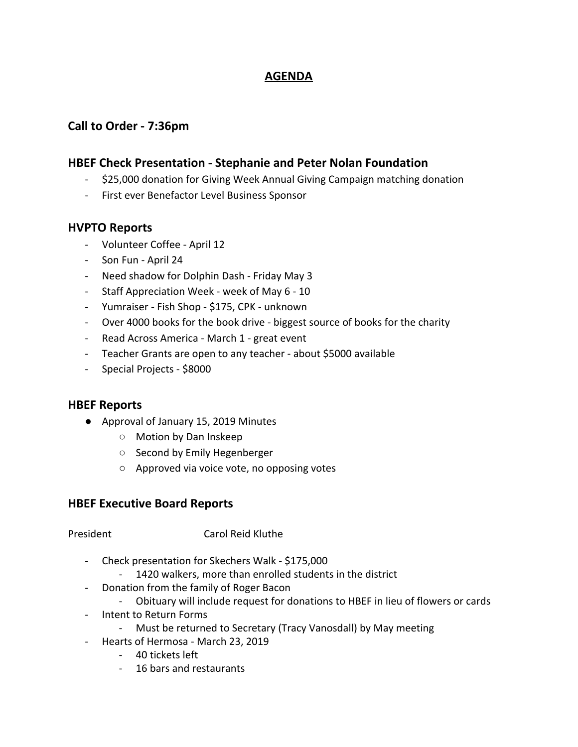## **AGENDA**

## **Call to Order - 7:36pm**

### **HBEF Check Presentation - Stephanie and Peter Nolan Foundation**

- \$25,000 donation for Giving Week Annual Giving Campaign matching donation
- First ever Benefactor Level Business Sponsor

#### **HVPTO Reports**

- Volunteer Coffee April 12
- Son Fun April 24
- Need shadow for Dolphin Dash Friday May 3
- Staff Appreciation Week week of May 6 10
- Yumraiser Fish Shop \$175, CPK unknown
- Over 4000 books for the book drive biggest source of books for the charity
- Read Across America March 1 great event
- Teacher Grants are open to any teacher about \$5000 available
- Special Projects \$8000

#### **HBEF Reports**

- Approval of January 15, 2019 Minutes
	- Motion by Dan Inskeep
	- Second by Emily Hegenberger
	- Approved via voice vote, no opposing votes

#### **HBEF Executive Board Reports**

President Carol Reid Kluthe

- Check presentation for Skechers Walk \$175,000
	- 1420 walkers, more than enrolled students in the district
- Donation from the family of Roger Bacon
	- Obituary will include request for donations to HBEF in lieu of flowers or cards
- Intent to Return Forms
	- Must be returned to Secretary (Tracy Vanosdall) by May meeting
- Hearts of Hermosa March 23, 2019
	- 40 tickets left
	- 16 bars and restaurants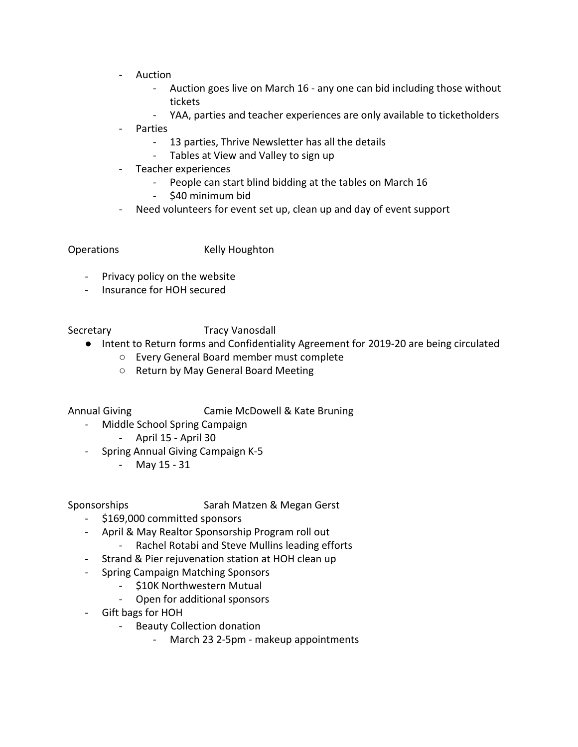- Auction
	- Auction goes live on March 16 any one can bid including those without tickets
	- YAA, parties and teacher experiences are only available to ticketholders
- **Parties** 
	- 13 parties, Thrive Newsletter has all the details
	- Tables at View and Valley to sign up
- Teacher experiences
	- People can start blind bidding at the tables on March 16
	- \$40 minimum bid
- Need volunteers for event set up, clean up and day of event support

Operations Kelly Houghton

- Privacy policy on the website
- Insurance for HOH secured

Secretary Tracy Vanosdall

- Intent to Return forms and Confidentiality Agreement for 2019-20 are being circulated
	- Every General Board member must complete
	- Return by May General Board Meeting

Annual Giving Camie McDowell & Kate Bruning

- Middle School Spring Campaign
	- April 15 April 30
- Spring Annual Giving Campaign K-5
	- May 15 31

#### Sponsorships Sarah Matzen & Megan Gerst

- \$169,000 committed sponsors
- April & May Realtor Sponsorship Program roll out
	- Rachel Rotabi and Steve Mullins leading efforts
- Strand & Pier rejuvenation station at HOH clean up
- Spring Campaign Matching Sponsors
	- \$10K Northwestern Mutual
	- Open for additional sponsors
- Gift bags for HOH
	- Beauty Collection donation
		- March 23 2-5pm makeup appointments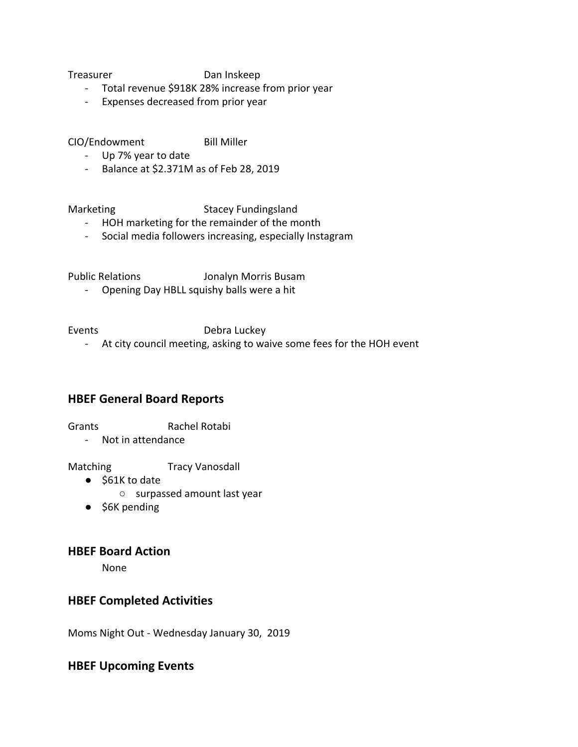Treasurer Dan Inskeep

- Total revenue \$918K 28% increase from prior year
- Expenses decreased from prior year

CIO/Endowment Bill Miller

- Up 7% year to date
- Balance at \$2.371M as of Feb 28, 2019

Marketing Stacey Fundingsland

- HOH marketing for the remainder of the month
- Social media followers increasing, especially Instagram

Public Relations Jonalyn Morris Busam

- Opening Day HBLL squishy balls were a hit

Events **Debra Luckey** 

- At city council meeting, asking to waive some fees for the HOH event

## **HBEF General Board Reports**

Grants Rachel Rotabi

- Not in attendance

Matching Tracy Vanosdall

- \$61K to date
	- surpassed amount last year
- \$6K pending

#### **HBEF Board Action**

None

#### **HBEF Completed Activities**

Moms Night Out - Wednesday January 30, 2019

## **HBEF Upcoming Events**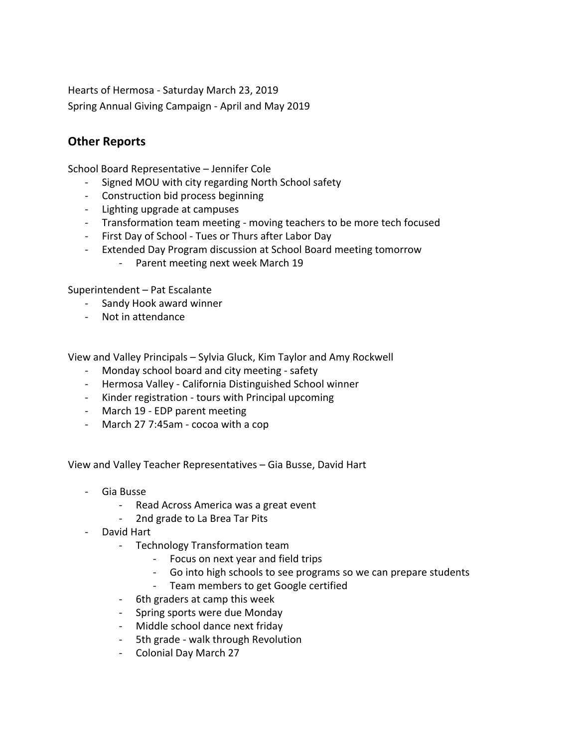Hearts of Hermosa - Saturday March 23, 2019 Spring Annual Giving Campaign - April and May 2019

## **Other Reports**

School Board Representative – Jennifer Cole

- Signed MOU with city regarding North School safety
- Construction bid process beginning
- Lighting upgrade at campuses
- Transformation team meeting moving teachers to be more tech focused
- First Day of School Tues or Thurs after Labor Day
- Extended Day Program discussion at School Board meeting tomorrow - Parent meeting next week March 19

Superintendent – Pat Escalante

- Sandy Hook award winner
- Not in attendance

View and Valley Principals – Sylvia Gluck, Kim Taylor and Amy Rockwell

- Monday school board and city meeting safety
- Hermosa Valley California Distinguished School winner
- Kinder registration tours with Principal upcoming
- March 19 EDP parent meeting
- March 27 7:45am cocoa with a cop

View and Valley Teacher Representatives – Gia Busse, David Hart

- Gia Busse
	- Read Across America was a great event
	- 2nd grade to La Brea Tar Pits
- David Hart
	- Technology Transformation team
		- Focus on next year and field trips
		- Go into high schools to see programs so we can prepare students
		- Team members to get Google certified
	- 6th graders at camp this week
	- Spring sports were due Monday
	- Middle school dance next friday
	- 5th grade walk through Revolution
	- Colonial Day March 27